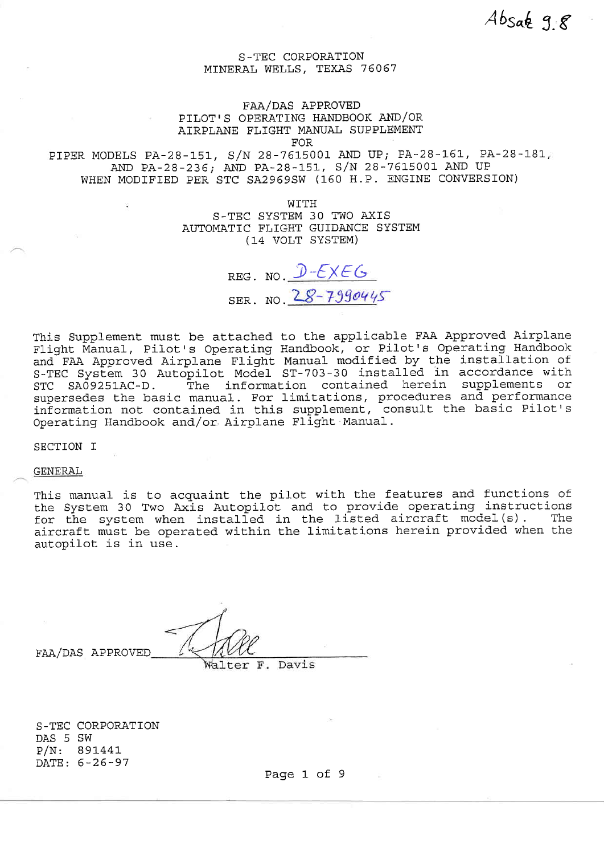## FAA/DAS APPROVED PILOT'S OPERATING HANDBOOK AND/OR AIRPLANE FLIGHT MANUAL SUPPLEMENT

FOR

PIPER MODELS PA-28-151, S/N 28-7615001 AND UP; PA-28-161, PA-28-181, AND PA-28-236; AND PA-28-151, S/N 28-7615001 AND UP WHEN MODIFIED PER STC SA2969SW (160 H.P. ENGINE CONVERSION)

WITH

S-TEC SYSTEM 30 TWO AXIS AUTOMATIC FLIGHT GUIDANCE SYSTEM (14 VOLT SYSTEM)

REG. NO.  $D$ - $EXEG$ SER. NO.  $28 - 7990445$ 

this Supplement must be attached to the applicable FAA Approved Airplane Flight Manual, Pilot's Operating Handbook, or Pilot's Operating Handbook and FAA Approved Airplane Flight Manual modified by the installation of S-TEC System 30 Autopilot Model ST-703-30 installed in accordance with<br>STC SA09251AC-D. The information contained herein supplements or The information contained herein supplements or supersedes the basic manual. For limitations, procedures and performance information not contained in this supplement, consult the basic Pilot's Operating Handbook and/or Airplane Flight Manual-.

SECTION T

GENERAL

This manual is to acquaint the pilot with the features and functions of the System 30 Two Axis Autopilot and to provide operating instructions for the system so iwo Axis Autoprice and to provide operating instructions<br>for the system when installed in the listed aircraft model(s). The aircraft must be operated within the limitations herein provided when the autopilot is in use.

FAA/DAS APPROVED

Davis Walter F.

S-TEC CORPORATION DAS 5 SW P/N: B9L44t DATE: 5-26-97

Page 1 of 9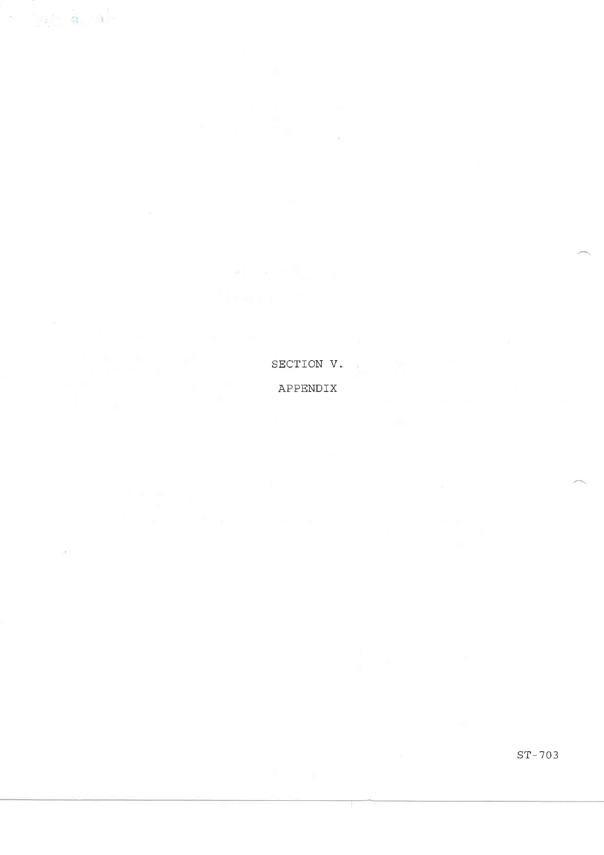SECTION V. APPENDTX

 $\alpha = \alpha - \alpha$  .

 $\mathcal{O}(\epsilon)$ 

sT- 703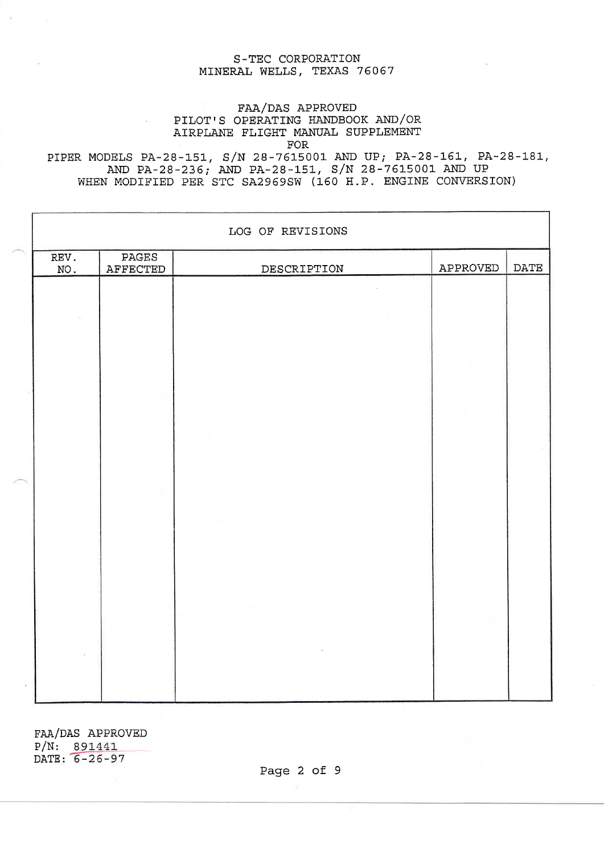# FAA/DAS APPROVED PILOT'S OPERATING HANDBOOK AND/OR AIRPLANE FLIGHT MANUAL SUPPLEMEMI FOR

 $\mathcal{L}$ 

PIPER MODELS PA-28-151, S/N 28-7615001 AND UP; PA-28-161, PA-28-181, AND PA-28-236; AND PA-28-151, S/N 28-7615001 AND UP WHEN MODIFIED PER STC SA2969SW (160 H.P. ENGINE CONVERSION)

| REV.<br>NO. | PAGES<br>AFFECTED | DESCRIPTION | APPROVED | <b>DATE</b> |
|-------------|-------------------|-------------|----------|-------------|
|             |                   |             |          |             |
|             |                   |             |          |             |
|             |                   |             |          |             |
|             |                   |             |          |             |
|             |                   |             |          |             |
|             |                   |             |          |             |
|             |                   |             |          |             |

FAA/DAS APPROVED P/N: DATE:

Page 2 of 9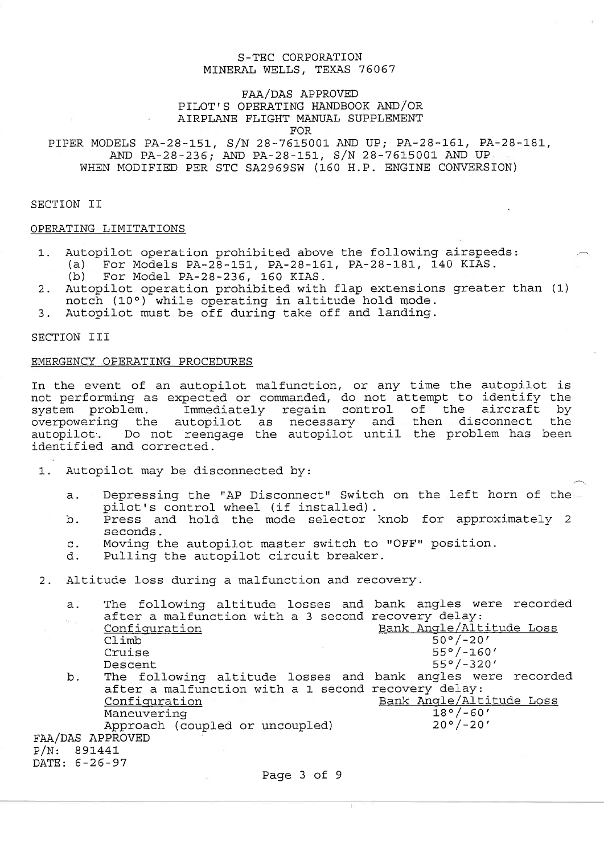## FAA/DAS APPROVED PILOT'S OPERATING HANDBOOK AND/OR AIRPLANE FLIGHT MANUAL SUPPLEMENT FOR

PIPER MODELS PA-28-151, S/N 28-7615001 AND UP; PA-28-161, PA-28-181, AND PA-28-236; AND PA-28-151, S/N 28-7615001 AND UP WHEN MODIFIED PER STC SA2969SW (160 H.P. ENGINE CONVERSION)

SECTION II

## OPERATING LIMITATIONS

- 1. Autopilot operation prohibited above the following airspeeds:<br>(a) For Models PA-28-151, PA-28-161, PA-28-181, 140 KIAS.<br>(b) For Model PA-28-236, 160 KIAS.
	- For Model PA-28-236, 160 KIAS.
- 2. Autopilot operation prohibited with flap extensions greater than (1) notch (10°) while operating in altitude hold mode.
- 3. Autopilot must be off during take off and landing.

SECTION III

# EMERGENCY OPERATING PROCEDURES

In the event of an autopilot malfunction, or any time the autopilot is not performing as expected or commanded, do not attempt to identify the<br>system problem. Immediately regain control of the aircraft by Immediately regain control of the aircraft overpowering the autopilot as necessary and then disconnect the overpowering the aaropiror as hecessary and rhen disconnect one<br>autopilot. Do not reengage the autopilot until the problem has been identified and corrected.

- 1. Autopilot may be disconnected by:
	- a. Depressing the "AP Disconnect" Switch on the left horn of the pilot's control wheel (if installed).<br>b. Press and hold the mode selector knob for approximately 2
	- Press and hold the mode selector knob for approximately 2 seconds.
	- c. Moving the autopilot master switch to "OFF" position.<br>d. Pulling the autopilot circuit breaker.
	- Pulling the autopilot circuit breaker.
- 2. Altitude loss during a malfunction and recovery.

|                  | а.         | The following altitude losses and bank angles were recorded |  |  |                          |  |  |  |  |
|------------------|------------|-------------------------------------------------------------|--|--|--------------------------|--|--|--|--|
|                  | $\sim$ $-$ | after a malfunction with a 3 second recovery delay:         |  |  |                          |  |  |  |  |
|                  |            | Configuration                                               |  |  | Bank Angle/Altitude Loss |  |  |  |  |
|                  |            | Climb                                                       |  |  | $50°/-20'$               |  |  |  |  |
|                  |            | Cruise                                                      |  |  | $55^{\circ}/-160'$       |  |  |  |  |
|                  |            | Descent                                                     |  |  | $55°/-320'$              |  |  |  |  |
|                  | b.         | The following altitude losses and bank angles were recorded |  |  |                          |  |  |  |  |
|                  |            | after a malfunction with a 1 second recovery delay:         |  |  |                          |  |  |  |  |
|                  |            | Configuration                                               |  |  | Bank Angle/Altitude Loss |  |  |  |  |
|                  |            | Maneuvering                                                 |  |  | $18°/-60'$               |  |  |  |  |
|                  |            | Approach (coupled or uncoupled)                             |  |  | $20°/-20'$               |  |  |  |  |
| FAA/DAS APPROVED |            |                                                             |  |  |                          |  |  |  |  |
| P/N: 891441      |            |                                                             |  |  |                          |  |  |  |  |
| DATE: 6-26-97    |            |                                                             |  |  |                          |  |  |  |  |
| $D = -2$         |            |                                                             |  |  |                          |  |  |  |  |

Page 3 of 9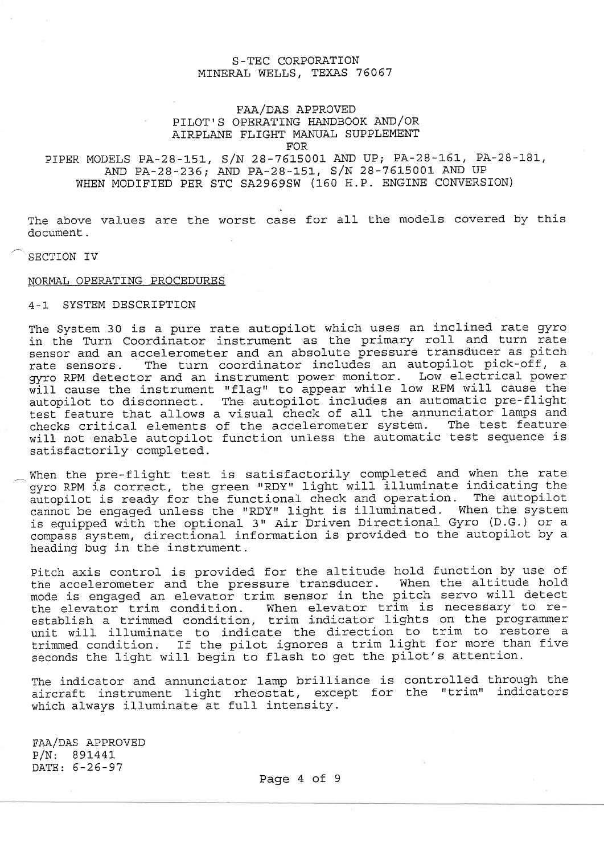## FAA/DAS APPROVED PILOT'S OPERATING IANDBOOK AND/OR AIRPLANE FLIGHT MANUAL SUPPLEMENT FOR

# PIPER MODELS PA-28-151, S/N 28-7615001 AND UP; PA-28-161, PA-28-181, AND PA-28-235; AND PA-28-151, S/N 28-76L5001 AND UP WHEN MODIFIED PER STC SA2969SW (150 H.P. ENGINE CONVERSION)

The above values are the worst case for all the models covered by this document.

#### SECTION IV

#### NORMAL OPERATING PROCEDURES

#### 4-L SYSTEM DESCRIPTION

The System 30 is a pure rate autopilot which uses an inclined rate gyro in the Turn Coordinator instrument as the primary roll and turn rate sensor and an accelerometer and an absolute pressure transducer as pitch rate sensors. The turn coordinator includes an autopilot pick-off, a gyro RPM detector and an instrument power monitor. Low electrical power gyro kPM detector and an instrument power monitor. How electrical power<br>will cause the instrument "flag" to appear while low RPM will cause the autopilot to disconnect. The autopilot includes an automatic pre-flight test feature that alIows a visual- check of all the annunciator lamps and checks critical elements of the accelerometer system. The test feature will not enable autopilot function unless the automatic test sequence is satisfactorily completed,

When the pre-flight test is satisfactorily completed and when the rate gyro RPM is correct, the green "RDY" light will illuminate indicating the autopilot is ready for the functional check and operation. The autopilot cannot be engaged unless the "RDY" light is illuminated. When the system is equipped with the optional 3" Air Driven Directional Gyro (D.G.) or a compass system, directional information is provided to the autopilot by a heading bug in the instrument.

Pitch axis control is provided for the altitude hold function by use of the accelerometer and the pressure transducer. When the altitude hold mode is engaged an elevator trim sensor in the pitch servo will detect mode is engaged an elevator trim sensor in the predi berve will decode establish a trimmed condition, trim indicator lights on the programmer establish a climmed condition, tiim indicator insuls on the programmer unit will filluminate to indicate the direction to sigm as resears to the pilot ignores a trim light for more than five seconds the light will begin to flash to get the pilot's attention.

The indicator and annunciator lamp brilliance is controlled through the aircraft instrument light rheostat, except for the "trim" indicators which always illuminate at full intensity.

 $\texttt{FAA/DAS}$  APPROVED P/N: B9L44L DATE: 5-26-97

Paqe 4 of 9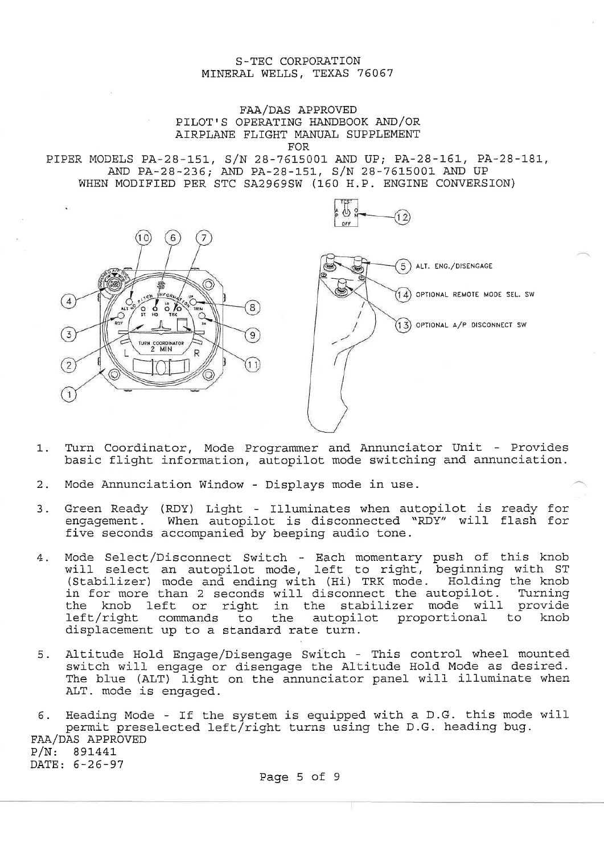# FAA/DAS APPROVED PILOT'S OPERATING HANDBOOK AND/OR AIRPLANE FLIGHT MANUAL SUPPLEMENT FOR

PIPER MODELS PA-28-151, S/N 28-7615001 AND UP; PA-28-161, PA-28-181, AND PA-28-236; AND PA-28-151, S/N 28-7615001 AND UP WHEN MODIFIED PER STC SA2969SW (160 H.P. ENGINE CONVERSION)





- 1. Turn Coordinator, Mode Programmer and Annunciator Unit Provides basic flight information, autopilot mode switching and annunciation.
- 2. Mode Annunciation Window Displays mode in use.
- 3. Green Ready (RDY) Light Illuminates when autopilot is ready for engagement. When autopilot is disconnected "RDY" will flash for five seconds accompanied by beeping audio tone.
- 4. Mode Select/Disconnect Switch Each momentary push of this knob will select an autopilot mode, left to right, beginning with ST<br>(Stabilizer) mode and ending with (Hi) TRK mode. Holding the knob in for more than 2 seconds will disconnect the autopilot. Turning the knob left or right in the stabilizer mode will provide the whole it is the seasilized mode will provide the commands to the autopilot proportional to knob left/right commands to the autopilot proportional<br>displacement up to a standard rate turn.
- 5. Altitude Hold Engage/Disengage Switch This control wheel mounted switch will engage or disengage the Altitude Hold Mode as desired. The blue (ALT) light on the annunciator panel will illuminate when ALT. mode is engaged.

6. Heading Mode - If the system is equipped with a D.G. this mode wil nodding node the end system is equipped with a statent mode<br>permit preselected left/right turns using the D.G. heading bug. FAA/DAS APPROVED  $P/N: 891441$ DATE: 6-26-97

Page 5 of 9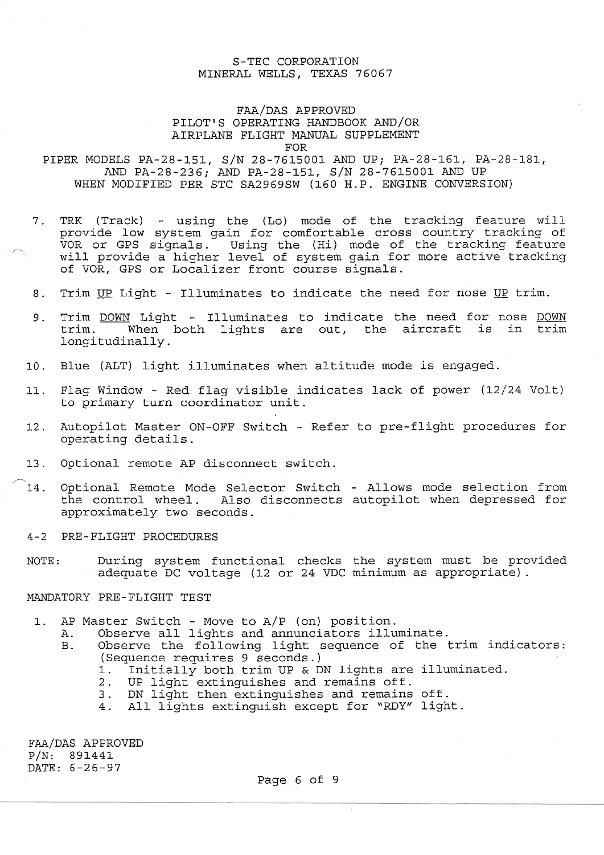## FAA/DAS APPROVED PILOT' S OPERATING HANDBOOK AND/OR AIRPLANE FLTGHT MANUAL SUPPLEMENT FOR

PIPER MODELS PA-28-151, S/N 28-7615001 AND UP; PA-28-161, PA-28-181, AND PA-28-236; AND PA-28-151, S/N 28-7615001 AND UP WHEN MODIFIED PER STC SA2969SW (160 H.P. ENGINE CONVERSION)

- 7. TRK (Track) using the (Lo) mode of the tracking feature will<br>provide low system gain for comfortable cross country tracking of VOR or GPS signals. Using the (Hi) mode of the tracking feature von or ofs bighaib. Soing the (ii) mode of the cruching redease of VOR, GPS or Localizer front course signals.
- 8. Trim UP Light Illuminates to indicate the need for nose UP trim.
- 9. Trim DOWN Light Illuminates to indicate the need for nose DOWN trim. When both lights are out, the aircraft is in trim longitudinally.
- 10. Blue (ALT) light illuminates when altitude mode is engaged.
- 11. FIag Window Red flag visible indicates lack of power (L2/24 VoIt) to primary turn coordinator unit.
- 12. Autopilot Master ON-OFF Switch Refer to pre-flight procedures for operating details.
- 13. Optional remote AP disconnect switch.
- 14. Optional Remote Mode Selector Switch Allows mode selection from the control wheel. Also disconnects autopilot when depressed for approximately two seconds.
- 4-2 PRE-FLIGHT PROCEDURES
- NOTE: During system functional checks the system must be provided adequate DC voltage (12 or 24 VDC minimum as appropriate).

#### MANDATORY PRE-FLIGHT TEST

- 1. AP Master Switch Move to A/P (on) position
	- A. Observe all lights and annunciators illuminate.
	- B. Observe the following light sequence of the trim indicators: (Sequence requires 9 seconds.)<br>1. Initially both trim UP & DN lights are illuminated.<br>2. UP light extinquishes and remains off.
		-
		- UP light extinguishes and remains off.
		- 3. DN light then extinguishes and remains off.
		- 4. All lights extinguish except for "RDY" light.

FAA/DAS APPROVED P/N: B9L44L DATE:  $6-26-97$ 

Page 6 of 9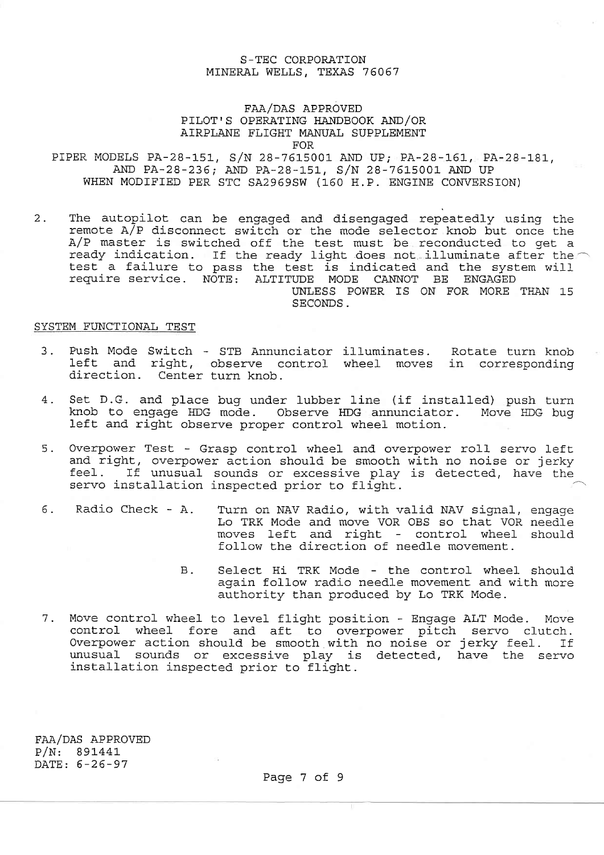## FAA/DAS APPROVED

PILOT'S OPERATING HANDBOOK AND/OR

AIRPLANE FLIGHT MANUAL SUPPLEMENT

FOR

PIPER MODELS PA-28-151, S/N 28-7615001 AND UP; PA-28-161, PA-28-181, AND PA-28-236; AND PA-28-151, S/N 28-7615001 AND UP WHEN MODIFIED PER STC SA2969SW (160 H.P. ENGINE CONVERSION)

2. The autopilot can be engaged and disengaged repeatedly using the remote A/P disconnect switch or the mode selector knob but once the A/P master is switched off the test must be reconducted to get a ready indication. If ready indicated and the system will<br>test a failure to pass the test is indicated and the system will<br>require service. NOTE: ALTITUDE MODE CANNOT BE ENGAGED UNLESS POWER IS ON FOR MORE THAN 15 SECONDS.

#### SYSTEM FUNCTIONAL TEST

- 3. Push Mode Switch STB Annunciator illuminates. Rotate turn knob left and right, observe control wheel moves in corresponding direction. Center turn knob.
- 4- Set D.G. and place bug under lubber line (it installed) push turn knob to engage HDG mode. Observe IIDG annunciator. Move IDG bug left. and right observe proper control wheel motion.
- 5. Overpower Test Grasp control wheel and overpower roll servo left creipower rese to drasp concrer wheer and overpower refr serve fere<br>and right, overpower action should be smooth with no noise or jerky and right, overpower accron should be smooth with ho horse or jerky<br>feel. If unusual sounds or excessive play is detected, have the servo installation inspected prior to flight.
- 6. Radio Check A. Turn on NAV Radio, with valid NAV signal, engage Lo TRK Mode and move VOR OBS so that VOR needle moves left and right - control wheel should follow the direction of needle movement.
	- Select Hi TRK Mode the control wheel should again follow radio needle movement and with more authority than produced by Lo TRK Mode. B.
- 7. Move control wheel to level flight position Engage ALT Mode. Move control wheel fore and aft to overpower pitch servo clutch.<br>Overpower action should be smooth with no noise or jerky feel. If Overpower action should be smooth with no noise or jerky feel. If unusual sounds or excessive play is detected, have the servo installation inspected prior to flight.

FAA/DAS APPROVED P/N: B9t44L DATE: 5-26-97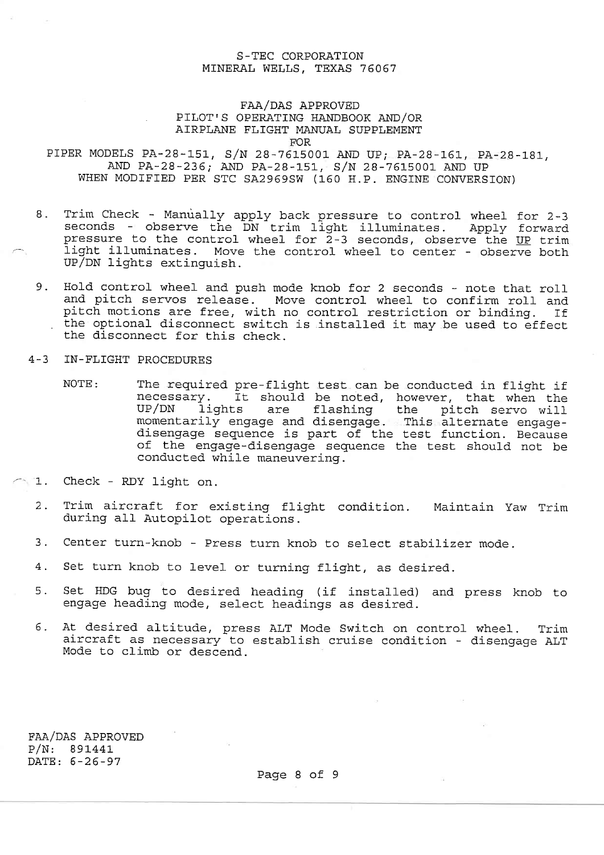# FAA/DAS APPROVED PILOT' S OPERATING HANDBOOK AND/OR AIRPLANE FLIGHT MANUAL SUPPLEMENT

**FOR** 

PIPER MODELS PA-28-151, S/N 28-7615001 AND UP; PA-28-161, PA-28-181, AND PA-28-236; AND PA-28-151, S/N 28-7615001 AND PA-28-151 WHEN MODTFIED PER STC SA2969SW (160 H.P. ENGINE CONVERSION)

- 8. Trim Check Manually apply back pressure to control wheel for 2-3<br>seconds observe the DN trim light illuminates. Apply forward pressure to the control wheel for 2-3 seconds, observe the UP trim<br>pressure to the control wheel for 2-3 seconds, observe the UP trim<br>light illuminates. Move the control wheel to center - observe both light illuminates. Move the control wheel to center - observe both UP/DN lights extinguish.
- 9. Hold control wheel and push mode knob for 2 seconds note that roll and pitch servos release. Move control wheel to confirm roll and pitch motions are free, with no control restriction or binding. If the optional disconnect switch is installed it may be used to effect<br>the disconnect for this check.
- 4-3 IN-FLIGHT PROCEDURES
	- NOTE: The required pre-flight test can be conducted in flight if necessary. It should be noted, however, that when the<br>UP/DN lights are flashing the pitch servo will<br>momentarily engage and disengage. This alternate engage-<br>disengage sequence is part of the test function. Because<br>of the
- 1. Check RDy Iight. on.
	- 2. Trim aircraft for existing flight condition. Maintain Yaw Trim during all Autopilot operations.
	- 3. Center turn-knob Press turn knob to select stabilizer mode.
	- 4. Set turn knob to level or turning flight, as desired.
	- 5. Set HDG bug Lo desired heading (if installed) and press knob to engage heading mode, select headings as desired.
	- 6. At desired altitude, press ALT Mode Switch on control wheel. Trim aircraft as necessary to establish cruise condition disengage ALT Mode to climb or descend.

FAA/DAS APPROVED P/N: B9L44L DATE: 5-26-97

Page 8 of 9